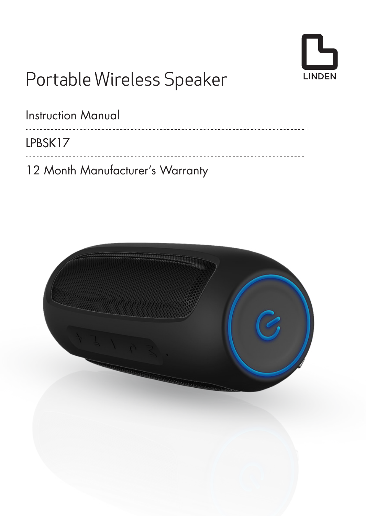

# Portable Wireless Speaker

| Instruction Manual               |
|----------------------------------|
| LPBSK17                          |
| 12 Month Manufacturer's Warranty |

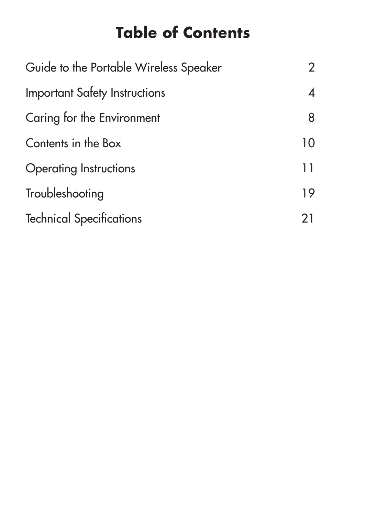# **Table of Contents**

| Guide to the Portable Wireless Speaker | 2  |
|----------------------------------------|----|
| Important Safety Instructions          | 4  |
| Caring for the Environment             | 8  |
| Contents in the Box                    | 10 |
| Operating Instructions                 | 11 |
| Troubleshooting                        | 19 |
| <b>Technical Specifications</b>        | 21 |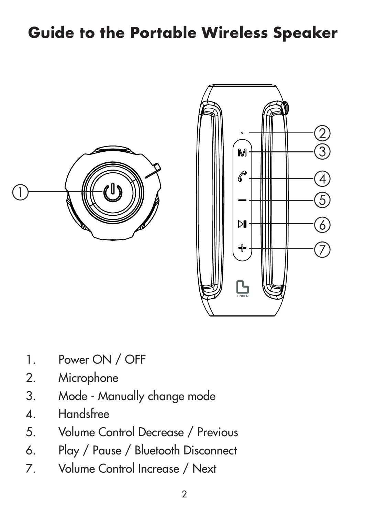### **Guide to the Portable Wireless Speaker**





- 1. Power ON / OFF
- 2. Microphone
- 3. Mode Manually change mode
- 4. Handsfree
- 5. Volume Control Decrease / Previous
- 6. Play / Pause / Bluetooth Disconnect
- 7. Volume Control Increase / Next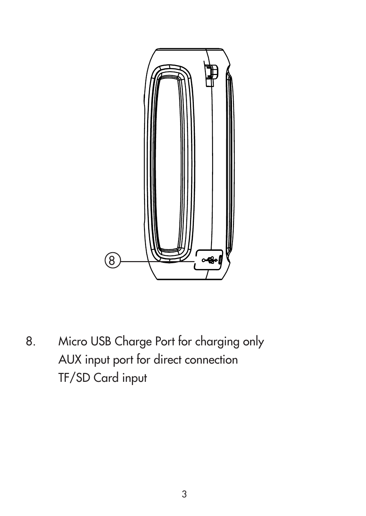

8. Micro USB Charge Port for charging only AUX input port for direct connection TF/SD Card input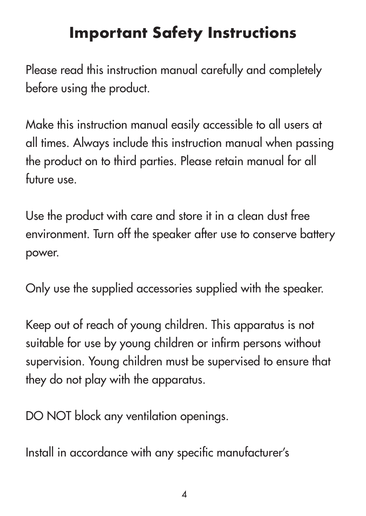#### **Important Safety Instructions**

Please read this instruction manual carefully and completely before using the product.

Make this instruction manual easily accessible to all users at all times. Always include this instruction manual when passing the product on to third parties. Please retain manual for all future use.

Use the product with care and store it in a clean dust free environment. Turn off the speaker after use to conserve battery power.

Only use the supplied accessories supplied with the speaker.

Keep out of reach of young children. This apparatus is not suitable for use by young children or infirm persons without supervision. Young children must be supervised to ensure that they do not play with the apparatus.

DO NOT block any ventilation openings.

Install in accordance with any specific manufacturer's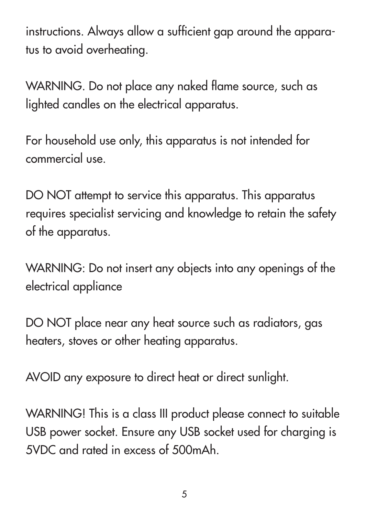instructions. Always allow a sufficient gap around the apparatus to avoid overheating.

WARNING. Do not place any naked flame source, such as lighted candles on the electrical apparatus.

For household use only, this apparatus is not intended for commercial use.

DO NOT attempt to service this apparatus. This apparatus requires specialist servicing and knowledge to retain the safety of the apparatus.

WARNING: Do not insert any objects into any openings of the electrical appliance

DO NOT place near any heat source such as radiators, aas heaters, stoves or other heating apparatus.

AVOID any exposure to direct heat or direct sunlight.

WARNING! This is a class III product please connect to suitable USB power socket. Ensure any USB socket used for charging is 5VDC and rated in excess of 500mAh.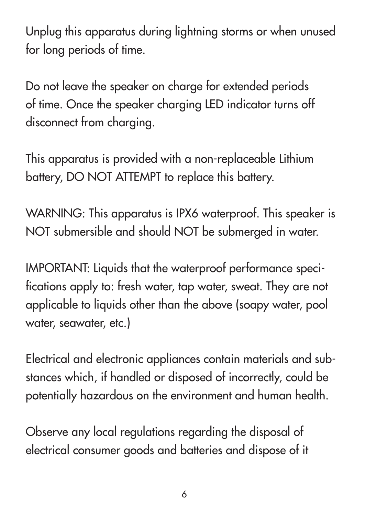Unplug this apparatus during lightning storms or when unused for long periods of time.

Do not leave the speaker on charge for extended periods of time. Once the speaker charging LED indicator turns off disconnect from charging.

This apparatus is provided with a non-replaceable Lithium battery, DO NOT ATTEMPT to replace this battery.

WARNING: This apparatus is IPX6 waterproof. This speaker is NOT submersible and should NOT be submerged in water.

IMPORTANT: Liquids that the waterproof performance specifications apply to: fresh water, tap water, sweat. They are not applicable to liquids other than the above (soapy water, pool water, seawater, etc.)

Electrical and electronic appliances contain materials and substances which, if handled or disposed of incorrectly, could be potentially hazardous on the environment and human health.

Observe any local regulations regarding the disposal of electrical consumer goods and batteries and dispose of it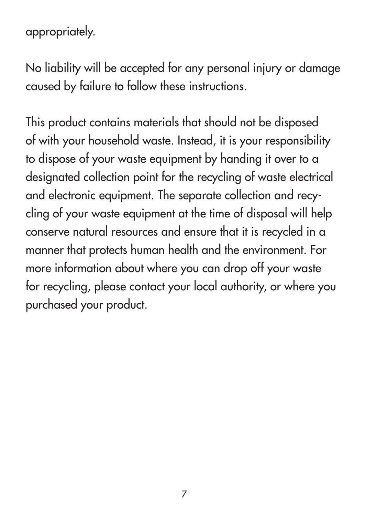appropriately.

No liability will be accepted for any personal injury or damage caused by failure to follow these instructions.

This product contains materials that should not be disposed of with your household waste. Instead, it is your responsibility to dispose of your waste equipment by handing it over to a designated collection point for the recycling of waste electrical and electronic equipment. The separate collection and recycling of your waste equipment at the time of disposal will help conserve natural resources and ensure that it is recycled in a manner that protects human health and the environment. For more information about where you can drop off your waste for recycling, please contact your local authority, or where you purchased your product.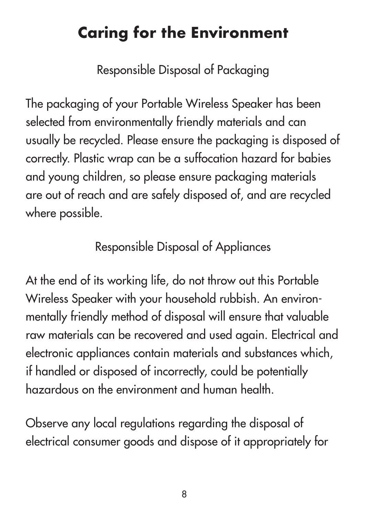### **Caring for the Environment**

Responsible Disposal of Packaging

The packaging of your Portable Wireless Speaker has been selected from environmentally friendly materials and can usually be recycled. Please ensure the packaging is disposed of correctly. Plastic wrap can be a suffocation hazard for babies and young children, so please ensure packaging materials are out of reach and are safely disposed of, and are recycled where possible.

#### Responsible Disposal of Appliances

At the end of its working life, do not throw out this Portable Wireless Speaker with your household rubbish. An environmentally friendly method of disposal will ensure that valuable raw materials can be recovered and used again. Electrical and electronic appliances contain materials and substances which, if handled or disposed of incorrectly, could be potentially hazardous on the environment and human health.

Observe any local regulations regarding the disposal of electrical consumer goods and dispose of it appropriately for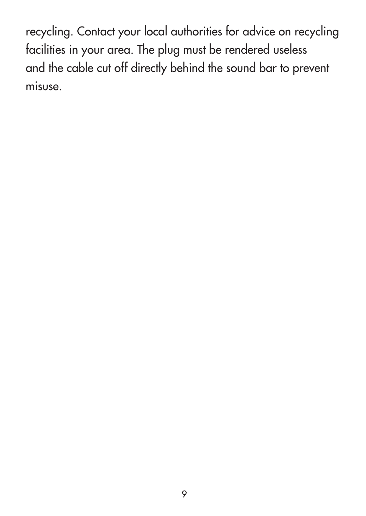recycling. Contact your local authorities for advice on recycling facilities in your area. The plug must be rendered useless and the cable cut off directly behind the sound bar to prevent misuse.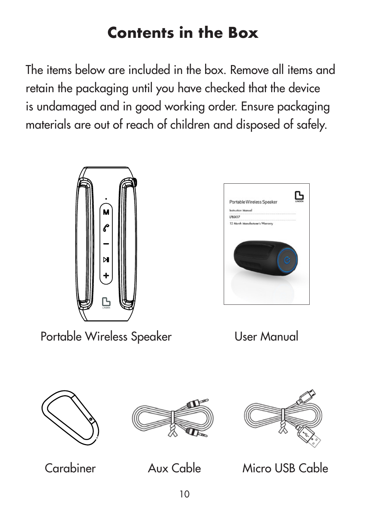### **Contents in the Box**

The items below are included in the box. Remove all items and retain the packaging until you have checked that the device is undamaged and in good working order. Ensure packaging materials are out of reach of children and disposed of safely.



Portable Wireless Speaker User Manual













Carabiner Aux Cable Micro USB Cable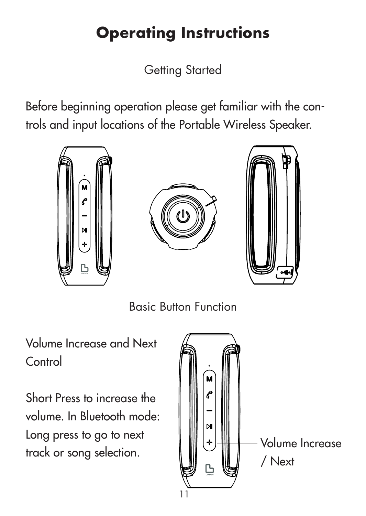# **Operating Instructions**

Getting Started

Before beginning operation please get familiar with the controls and input locations of the Portable Wireless Speaker.



Basic Button Function

Volume Increase and Next Control

Short Press to increase the volume. In Bluetooth mode: Long press to go to next track or song selection.

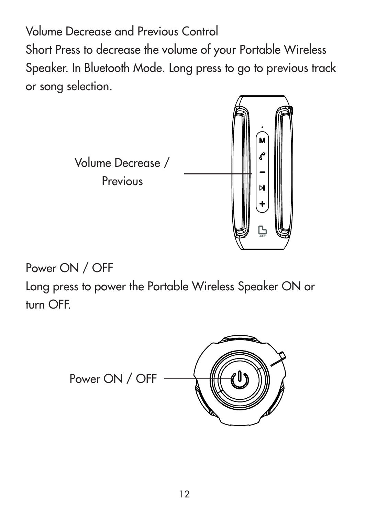Volume Decrease and Previous Control Short Press to decrease the volume of your Portable Wireless Speaker. In Bluetooth Mode. Long press to go to previous track or song selection.



Power ON / OFF

Long press to power the Portable Wireless Speaker ON or turn OFF.

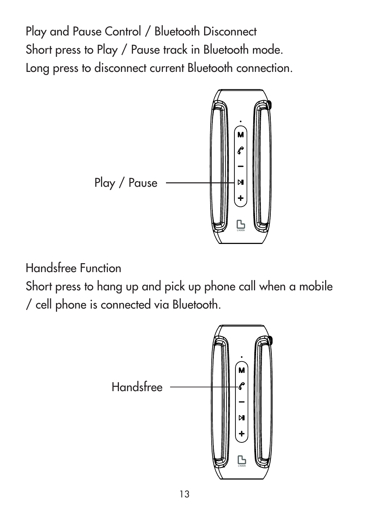Play and Pause Control / Bluetooth Disconnect Short press to Play / Pause track in Bluetooth mode. Long press to disconnect current Bluetooth connection.



Handsfree Function

Short press to hang up and pick up phone call when a mobile / cell phone is connected via Bluetooth.

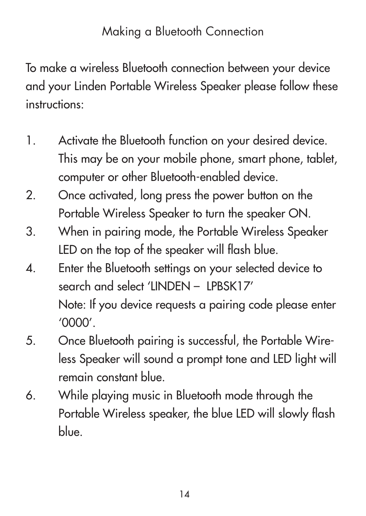#### Making a Bluetooth Connection

To make a wireless Bluetooth connection between your device and your Linden Portable Wireless Speaker please follow these instructions:

- 1. Activate the Bluetooth function on your desired device. This may be on your mobile phone, smart phone, tablet, computer or other Bluetooth-enabled device.
- 2. Once activated, long press the power button on the Portable Wireless Speaker to turn the speaker ON.
- 3. When in pairing mode, the Portable Wireless Speaker LED on the top of the speaker will flash blue.
- 4. Enter the Bluetooth settings on your selected device to search and select 'LINDEN - LPBSK17' Note: If you device requests a pairing code please enter '0000'.
- 5. Once Bluetooth pairing is successful, the Portable Wireless Speaker will sound a prompt tone and LED light will remain constant blue.
- 6. While playing music in Bluetooth mode through the Portable Wireless speaker, the blue LED will slowly flash blue.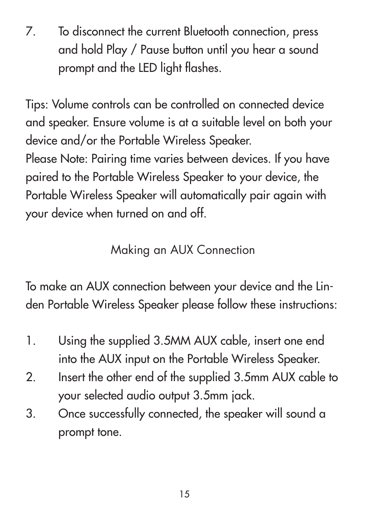7. To disconnect the current Bluetooth connection, press and hold Play / Pause button until you hear a sound prompt and the LED light flashes.

Tips: Volume controls can be controlled on connected device and speaker. Ensure volume is at a suitable level on both your device and/or the Portable Wireless Speaker. Please Note: Pairing time varies between devices. If you have paired to the Portable Wireless Speaker to your device, the Portable Wireless Speaker will automatically pair again with your device when turned on and off.

#### Making an AUX Connection

To make an AUX connection between your device and the Linden Portable Wireless Speaker please follow these instructions:

- 1. Using the supplied 3.5MM AUX cable, insert one end into the AUX input on the Portable Wireless Speaker.
- 2. Insert the other end of the supplied 3.5mm AUX cable to your selected audio output 3.5mm jack.
- 3. Once successfully connected, the speaker will sound a prompt tone.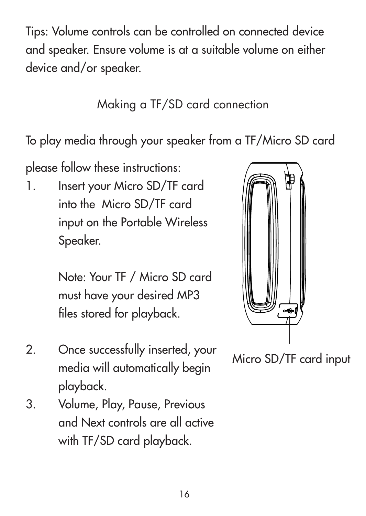Tips: Volume controls can be controlled on connected device and speaker. Ensure volume is at a suitable volume on either device and/or speaker.

Making a TF/SD card connection

To play media through your speaker from a TF/Micro SD card

please follow these instructions:

1. Insert your Micro SD/TF card into the Micro SD/TF card input on the Portable Wireless Speaker.

> Note: Your TF / Micro SD card must have your desired MP3 files stored for playback.

- 2. Once successfully inserted, your media will automatically begin playback.
- 3. Volume, Play, Pause, Previous and Next controls are all active with TF/SD card playback.



Micro SD/TF card input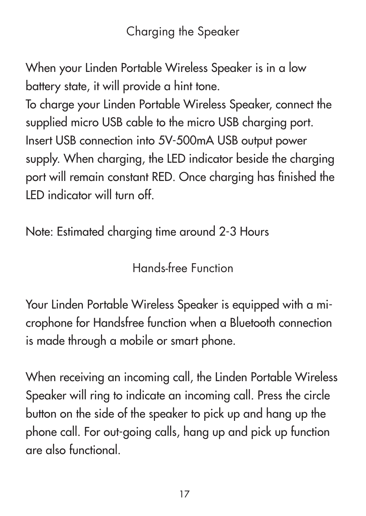Charging the Speaker

When your Linden Portable Wireless Speaker is in a low battery state, it will provide a hint tone.

To charge your Linden Portable Wireless Speaker, connect the supplied micro USB cable to the micro USB charging port. Insert USB connection into 5V-500mA USB output power supply. When charging, the LED indicator beside the charging port will remain constant RED. Once charging has finished the LED indicator will turn off.

Note: Estimated charging time around 2-3 Hours

Hands-free Function

Your Linden Portable Wireless Speaker is equipped with a microphone for Handsfree function when a Bluetooth connection is made through a mobile or smart phone.

When receiving an incoming call, the Linden Portable Wireless Speaker will ring to indicate an incoming call. Press the circle button on the side of the speaker to pick up and hang up the phone call. For out-going calls, hang up and pick up function are also functional.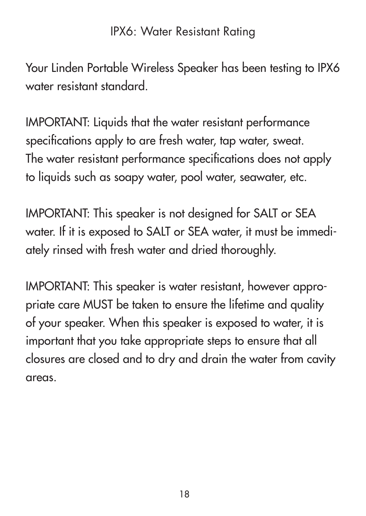#### IPX6: Water Resistant Rating

Your Linden Portable Wireless Speaker has been testing to IPX6 water resistant standard.

IMPORTANT: Liquids that the water resistant performance specifications apply to are fresh water, tap water, sweat. The water resistant performance specifications does not apply to liquids such as soapy water, pool water, seawater, etc.

IMPORTANT: This speaker is not designed for SALT or SEA water. If it is exposed to SALT or SEA water, it must be immediately rinsed with fresh water and dried thoroughly.

IMPORTANT: This speaker is water resistant, however appropriate care MUST be taken to ensure the lifetime and quality of your speaker. When this speaker is exposed to water, it is important that you take appropriate steps to ensure that all closures are closed and to dry and drain the water from cavity areas.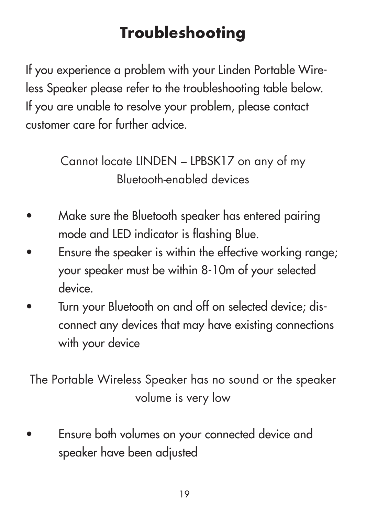## **Troubleshooting**

If you experience a problem with your Linden Portable Wireless Speaker please refer to the troubleshooting table below. If you are unable to resolve your problem, please contact customer care for further advice.

> Cannot locate LINDEN – LPBSK17 on any of my Bluetooth-enabled devices

- Make sure the Bluetooth speaker has entered pairing mode and LED indicator is flashing Blue.
- Ensure the speaker is within the effective working range: your speaker must be within 8-10m of your selected device.
- Turn your Bluetooth on and off on selected device; disconnect any devices that may have existing connections with your device

The Portable Wireless Speaker has no sound or the speaker volume is very low

• Ensure both volumes on your connected device and speaker have been adjusted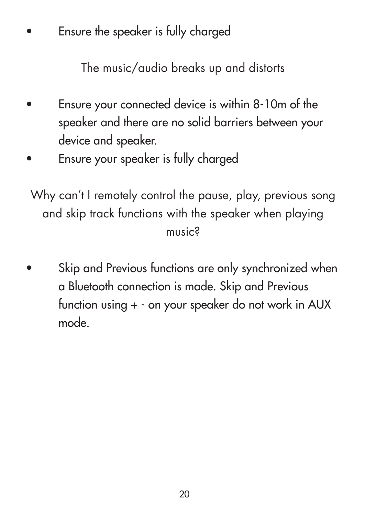Ensure the speaker is fully charged

The music/audio breaks up and distorts

- Ensure your connected device is within 8-10m of the speaker and there are no solid barriers between your device and speaker.
- Ensure your speaker is fully charged

Why can't I remotely control the pause, play, previous song and skip track functions with the speaker when playing music?

Skip and Previous functions are only synchronized when a Bluetooth connection is made. Skip and Previous function using + - on your speaker do not work in AUX mode.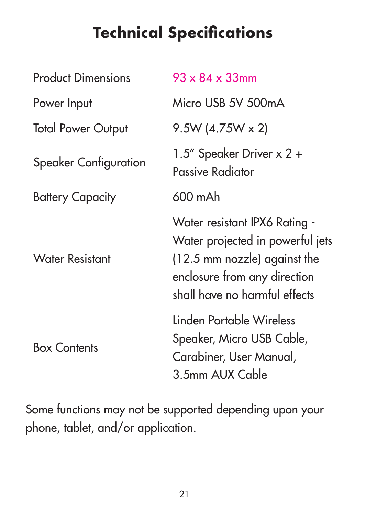## **Technical Specifications**

| <b>Product Dimensions</b> | $93 \times 84 \times 33$ mm                                                                                                                                        |
|---------------------------|--------------------------------------------------------------------------------------------------------------------------------------------------------------------|
| Power Input               | Micro USB 5V 500mA                                                                                                                                                 |
| <b>Total Power Output</b> | $9.5W(4.75W \times 2)$                                                                                                                                             |
| Speaker Configuration     | 1.5" Speaker Driver x 2 +<br>Passive Radiator                                                                                                                      |
| <b>Battery Capacity</b>   | 600 mAh                                                                                                                                                            |
| <b>Water Resistant</b>    | Water resistant IPX6 Rating -<br>Water projected in powerful jets<br>(12.5 mm nozzle) against the<br>enclosure from any direction<br>shall have no harmful effects |
| <b>Box Contents</b>       | Linden Portable Wireless<br>Speaker, Micro USB Cable,<br>Carabiner, User Manual,<br>3.5mm AUX Cable                                                                |

Some functions may not be supported depending upon your phone, tablet, and/or application.